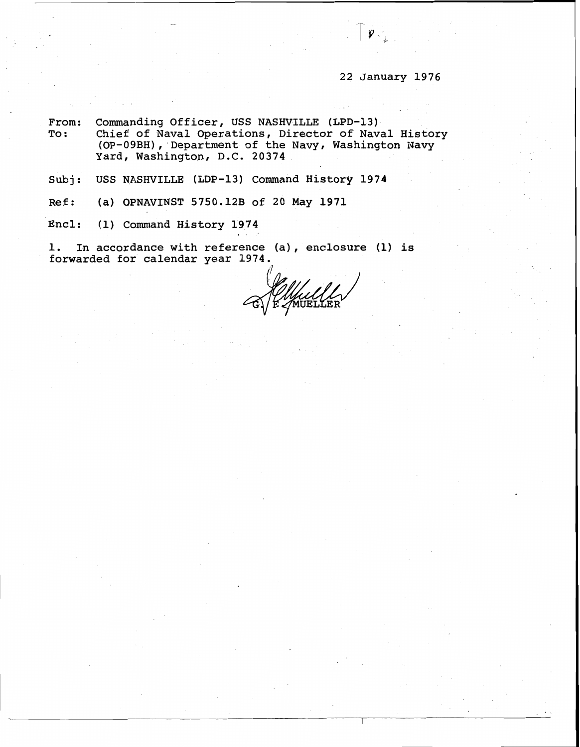## 22 January 1976

From: Commanding Officer, USS NASHVILLE (LPD-13)<br>To: Chief of Naval Operations, Director of Nav Chief of Naval Operations, Director of Naval History (OP-09BH), Department of the Navy, Washington Navy Yard, Washington, D.C. 20374

Subj: USS NASHVILLE (LDP-13) Command History 1974

Ref: (a) OPNAVINST 5750.12B of 20 May 1971

Encl: (1) Command History 1974

1. In accordance with reference (a), enclosure (1) is forwarded for calendar year 1974.

MUELLER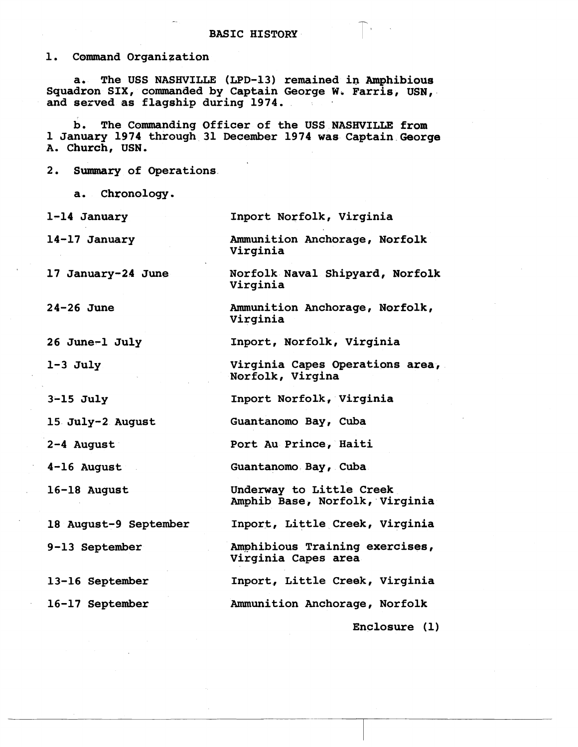**1. Command Organization** 

**a. The USS NASHVILLE (LPD-13) remained in Amphibious Squadron SIX, commanded by Captain George W. Farris, USN, and served as flagship during 1974.** 

**b. The Commanding Officer of the USS NASHVILLE from 1 January 1974 through 31 December 1974 was Captain George A. Church, USN.** 

**Virginia** 

**2. Summary of Operations** 

**a. Chronology.** 

**1-14 January Inport Norfolk, Virginia** 

**14- 17 January Ammunition Anchorage, Norfolk** 

**17 January-24 June Norfolk Naval Shipyard, Norfolk Virginia** 

**24-26 June** 

**26 June-1 July** 

**1-3 July** 

**3-15 July** 

**15 July-2 August** 

**2-4 August** 

**4-16 August** 

**16-18 August** 

**18 August-9 September** 

**9-13 September** 

**13-16 September** 

**16-17 September** 

**Ammunition Anchorage, Norfolk, Virginia** 

**Inport, Norfolk, Virginia** 

**Virginia Capes Operations area,**  Norfolk, Virgina

**Inport Norfolk, Virginia** 

**Guantanomo Bay, Cuba** 

**Port Au Prince, Haiti** 

**Guantanomo Bay, Cuba** 

**Underway to Little Creek Amphib Base, Norfolk, Virginia** 

**Inport, Little Creek, Virginia** 

**Amphibious Training exercises, Virginia Capes area** 

**Inport, Little Creek, Virginia** 

**Ammunition Anchorage, Norfolk**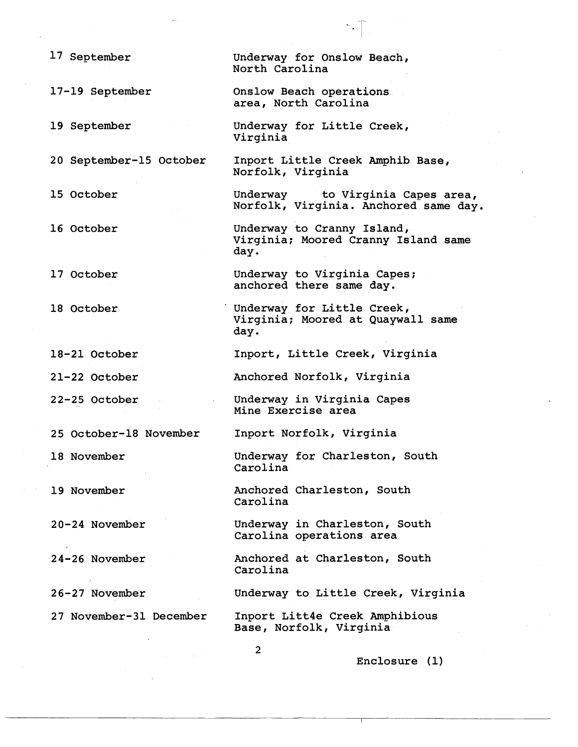| 17 September            | Underway for Onslow Beach,<br>North Carolina                              |
|-------------------------|---------------------------------------------------------------------------|
| 17-19 September         | Onslow Beach operations.<br>area, North Carolina                          |
| 19 September            | Underway for Little Creek,<br>Virginia                                    |
| 20 September-15 October | Inport Little Creek Amphib Base,<br>Norfolk, Virginia                     |
| 15 October              | Underway to Virginia Capes area,<br>Norfolk, Virginia. Anchored same day. |
| 16 October              | Underway to Cranny Island,<br>Virginia; Moored Cranny Island same<br>day. |
| 17 October              | Underway to Virginia Capes;<br>anchored there same day.                   |
| 18 October              | Underway for Little Creek,<br>Virginia; Moored at Quaywall same<br>day.   |
| 18-21 October           | Inport, Little Creek, Virginia                                            |
| 21-22 October           | Anchored Norfolk, Virginia                                                |
| 22-25 October           | Underway in Virginia Capes<br>Mine Exercise area                          |
| 25 October-18 November  | Inport Norfolk, Virginia                                                  |
| 18 November             | Underway for Charleston, South<br>Carolina                                |
| 19 November             | Anchored Charleston, South<br>Carolina                                    |
| 20-24 November          | Underway in Charleston, South<br>Carolina operations area                 |
| 24-26 November          | Anchored at Charleston, South<br>Carolina                                 |
| 26-27 November          | Underway to Little Creek, Virginia                                        |
| 27 November-31 December | Inport Litt4e Creek Amphibious<br>Base, Norfolk, Virginia                 |
|                         | $\mathbf{2}$<br>Enclosure (1)                                             |

 $\sim$   $\uparrow$  .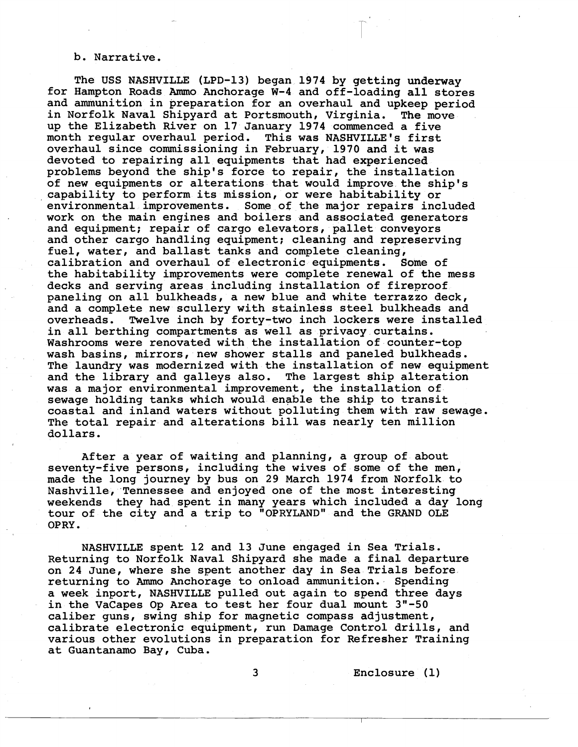## b. Narrative.

for Hampton Roads Ammo Anchorage W-4 and off-loading all stores and ammunition in preparation for an overhaul and upkeep period The USS NASHVILLE (LPD-13) began 1974 by getting underway in Norfolk Naval Shipyard at Portsmouth, Virginia. The move up the Elizabeth River on 17 January 1974 commenced a five month regular overhaul period. This was NASHVILLE'S first overhaul since commissioning in February, 1970 and it was devoted to repairing all equipments that had experienced problems beyond the ship's force to repair, the installation of new equipments or alterations that would improve the ship's capability to perform its mission, or were habitability or environmental improvements. Some of the major repairs included work on the main engines and boilers and associated generators and equipment; repair of cargo elevators, pallet conveyors and other cargo handling equipment; cleaning and represerving fuel, water, and ballast tanks and complete cleaning, calibration and overhaul of electronic equipments. Some of the habitability improvements were complete renewal of the mess decks and serving areas including installation of fireproof paneling on all bulkheads, a new blue and white terrazzo deck, and a complete new scullery with stainless steel bulkheads and overheads. Twelve inch by forty-two inch lockers were installed in all berthing compartments as well as privacy curtains. Washrooms were renovated with the installation of counter-top wash basins, mirrors, new shower stalls and paneled bulkheads. The laundry was modernized with the installation of new equipment and the library and galleys also. The largest ship alteration was a major environmental improvement, the installation of sewage holding tanks which would enable the ship to transit coastal and inland waters without polluting them with raw sewage. The total repair and alterations bill was nearly ten million dollars.

After a year of waiting and planning, a group of about seventy-five persons, including the wives of some of the men, made the long journey by bus on 29 March 1974 from Norfolk to Nashville, Tennessee and enjoyed one of the most interesting weekends they had spent in many years which included a day long tour of the city and a trip to "OPRYLAND" and the GRAND OLE OPRY.

NASHVILLE spent 12 and 13 June engaged in Sea Trials. Returning to Norfolk Naval Shipyard she made a final departure on 24 June, where she spent another day in Sea Trials before returning to Ammo Anchorage to onload ammunition. Spending a week inport, NASHVILLE pulled out again to spend three days in the VaCapes Op Area to test her four dual mount 3"-50 caliber guns, swing ship for magnetic compass adjustment, calibrate electronic equipment, run Damage Control drills, and various other evolutions in preparation for Refresher Training at Guantanamo Bay, Cuba.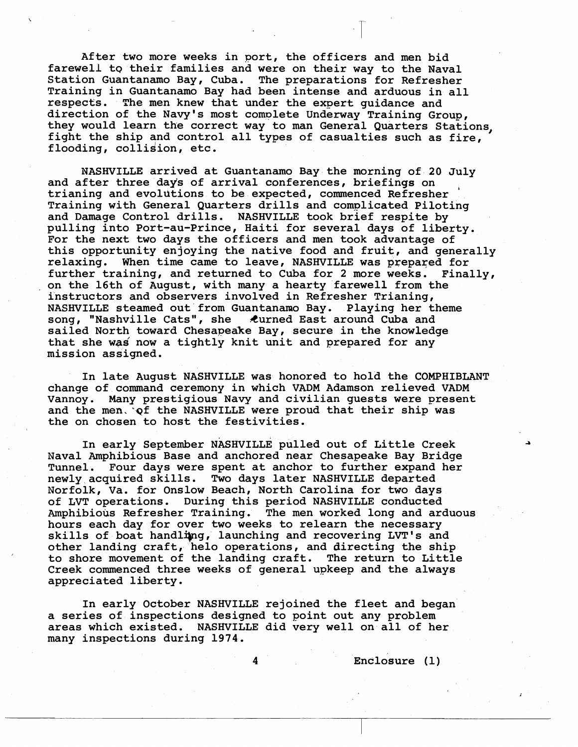After two more weeks in port, the officers and men bid farewell to their families and were on their way to the Naval Station Guantanamo Bay, Cuba. The preparations for Refresher Training in Guantanamo Bay had been intense and arduous in all respects. The men knew that under the expert guidance and direction of the Navy's most complete Underway Training Group, they would learn the correct way to man General Quarters Stations, fight the ship and control all types of casualties such as fire, flooding, collision, etc.

NASHVILLE arrived at Guantanamo Bay the morning of 20 July<br>and after three days of arrival conferences, briefings on trianing and evolutions to be expected, commenced Refresher Training with General Quarters drills and complicated Piloting and Damage Control drills. NASHVILLE took brief respite by pulling into Port-au-Prince, Haiti for several days of liberty. For the next two days the officers and men took advantage of this opportunity enjoying the native food and fruit, and generally relaxing. When time came to leave, NASHVILLE was prepared for further training, and returned to Cuba for 2 more weeks. Finally, on the 16th of August, with many a hearty farewell from the instructors and observers involved in Refresher Trianing, NASHVILLE steamed out from Guantanamo Bay. Playing her theme song, "Nashville Cats", she Curned East around Cuba and sailed North toward Chesapeake Bay, secure in the knowledge that she was now a tightly knit unit and prepared for any mission assigned.

In late August NASHVILLE was honored to hold the COMPHIBLANT change of command ceremony in which VADM Adamson relieved VADM Vannoy. Many prestigious Navy and civilian guests were present and the men."qf the NASHVILLE were proud that their ship was the on chosen to host the festivities.

In early September NASHVILLE pulled out of Little Creek Naval Amphibious Base and anchored near Chesapeake Bay Bridge Tunnel. Four days were spent at anchor to further expand her newly acquired skills. Two days later NASHVILLE departed Norfolk, Va. for Onslow Beach, North Carolina for two days of LVT operations. During this period NASHVILLE conducted Amphibious Refresher Training. The men worked long and arduous hours each day for over two weeks to relearn the necessary skills of boat handling, launching and recovering LVT's and other landing craft, helo operations, and directing the ship to shore movement of the landing craft. The return to Little Creek commenced three weeks of general upkeep and the always appreciated liberty.

In early October NASHVILLE rejoined the fleet and began a series of inspections designed to point out any problem areas which existed. NASHVILLE did very well on all of her many inspections during 1974.